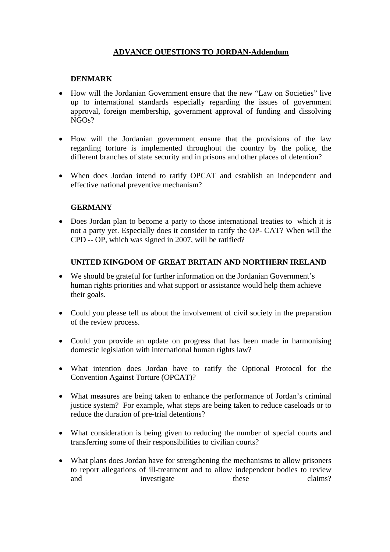## **ADVANCE QUESTIONS TO JORDAN-Addendum**

## **DENMARK**

- How will the Jordanian Government ensure that the new "Law on Societies" live up to international standards especially regarding the issues of government approval, foreign membership, government approval of funding and dissolving  $NGOs?$
- How will the Jordanian government ensure that the provisions of the law regarding torture is implemented throughout the country by the police, the different branches of state security and in prisons and other places of detention?
- When does Jordan intend to ratify OPCAT and establish an independent and effective national preventive mechanism?

## **GERMANY**

• Does Jordan plan to become a party to those international treaties to which it is not a party yet. Especially does it consider to ratify the OP- CAT? When will the CPD -- OP, which was signed in 2007, will be ratified?

## **UNITED KINGDOM OF GREAT BRITAIN AND NORTHERN IRELAND**

- We should be grateful for further information on the Jordanian Government's human rights priorities and what support or assistance would help them achieve their goals.
- Could you please tell us about the involvement of civil society in the preparation of the review process.
- Could you provide an update on progress that has been made in harmonising domestic legislation with international human rights law?
- What intention does Jordan have to ratify the Optional Protocol for the Convention Against Torture (OPCAT)?
- What measures are being taken to enhance the performance of Jordan's criminal justice system? For example, what steps are being taken to reduce caseloads or to reduce the duration of pre-trial detentions?
- What consideration is being given to reducing the number of special courts and transferring some of their responsibilities to civilian courts?
- What plans does Jordan have for strengthening the mechanisms to allow prisoners to report allegations of ill-treatment and to allow independent bodies to review and investigate these claims?